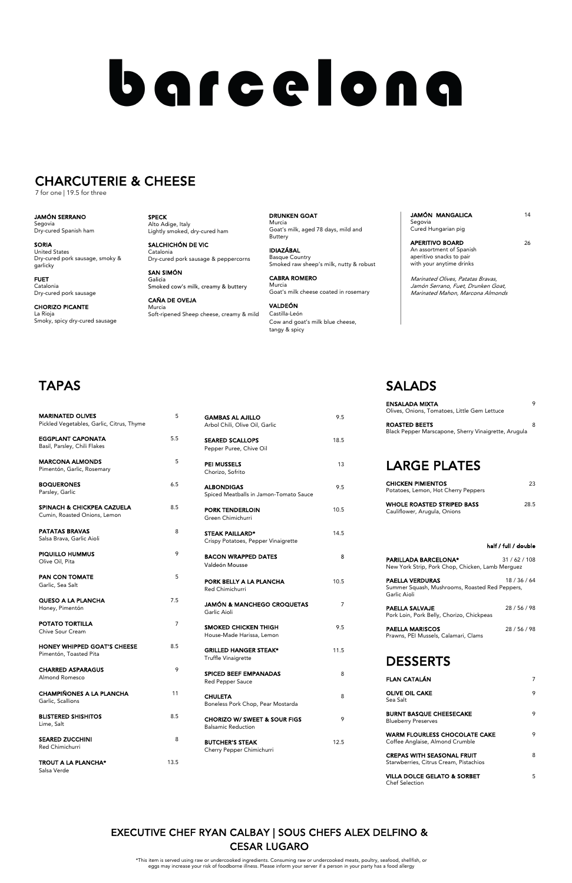GRIGHT STEAK\* 11.5 Truffle Vinaigrette

SPICED BEEF EMPANADAS 8 Red Pepper Sauce

CHULETA 8 Boneless Pork Chop, Pear Mostarda

CHORIZO W/ SWEET & SOUR FIGS 9 Balsamic Reduction

BUTCHER'S STEAK 12.5 Cherry Pepper Chimichurri

| <b>MARINATED OLIVES</b>                                                             | 5   | <b>GAMBAS AL AJILLO</b>                    | 9.5            |
|-------------------------------------------------------------------------------------|-----|--------------------------------------------|----------------|
| Pickled Vegetables, Garlic, Citrus, Thyme                                           |     | Arbol Chili, Olive Oil, Garlic             |                |
| <b>EGGPLANT CAPONATA</b>                                                            | 5.5 | <b>SEARED SCALLOPS</b>                     | 18.5           |
| Basil, Parsley, Chili Flakes                                                        |     | Pepper Puree, Chive Oil                    |                |
| <b>MARCONA ALMONDS</b>                                                              | 5   | <b>PEI MUSSELS</b>                         | 13             |
| Pimentón, Garlic, Rosemary                                                          |     | Chorizo, Sofrito                           |                |
| <b>BOQUERONES</b>                                                                   | 6.5 | <b>ALBONDIGAS</b>                          | 9.5            |
| Parsley, Garlic                                                                     |     | Spiced Meatballs in Jamon-Tomato Sauce     |                |
| <b>SPINACH &amp; CHICKPEA CAZUELA</b>                                               | 8.5 | <b>PORK TENDERLOIN</b>                     | 10.5           |
| Cumin, Roasted Onions, Lemon                                                        |     | Green Chimichurri                          |                |
| <b>PATATAS BRAVAS</b>                                                               | 8   | <b>STEAK PAILLARD*</b>                     | 14.5           |
| Salsa Brava, Garlic Aioli                                                           |     | Crispy Potatoes, Pepper Vinaigrette        |                |
| <b>PIQUILLO HUMMUS</b>                                                              | 9   | <b>BACON WRAPPED DATES</b>                 | 8              |
| Olive Oil, Pita                                                                     |     | Valdeón Mousse                             |                |
| <b>PAN CON TOMATE</b>                                                               | 5   |                                            |                |
| Garlic, Sea Salt                                                                    |     | PORK BELLY A LA PLANCHA<br>Red Chimichurri | 10.5           |
| <b>QUESO A LA PLANCHA</b>                                                           | 7.5 | <b>JAMÓN &amp; MANCHEGO CROQUETAS</b>      | $\overline{7}$ |
| Honey, Pimentón                                                                     |     | Garlic Aioli                               |                |
| POTATO TORTILLA                                                                     | 7   | SMOKED CHICKEN THIGH                       | 9.5            |
| Chive Sour Cream                                                                    |     | House-Made Harissa, Lemon                  |                |
| <b>HONEY WHIPPED GOAT'S CHEESE</b>                                                  | 8.5 | <b>GRILLED HANGER STEAK*</b>               | 11.5           |
| $\mathsf{D}^{\mathsf{I}}$ <sub>nn</sub> antán Tagata d $\mathsf{D}^{\mathsf{I}}$ ta |     |                                            |                |

TROUT A LA PLANCHA\* 13.5 Salsa Verde

| <b>FLAN CATALÁN</b>                                                         |   |
|-----------------------------------------------------------------------------|---|
| <b>OLIVE OIL CAKE</b><br>Sea Salt                                           | 9 |
| <b>BURNT BASQUE CHEESECAKE</b><br><b>Blueberry Preserves</b>                | 9 |
| <b>WARM FLOURLESS CHOCOLATE CAKE</b><br>Coffee Anglaise, Almond Crumble     | 9 |
| <b>CREPAS WITH SEASONAL FRUIT</b><br>Starwberries, Citrus Cream, Pistachios | 8 |
| VILLA DOLCE GELATO & SORBET                                                 | 5 |

Pimentón, Toasted Pita

| <b>CHARRED ASPARAGUS</b><br>Almond Romesco           |     |
|------------------------------------------------------|-----|
| <b>CHAMPIÑONES A LA PLANCHA</b><br>Garlic, Scallions | 11  |
| <b>BLISTERED SHISHITOS</b><br>Lime, Salt             | 8.5 |
| <b>SEARED ZUCCHINI</b><br>Red Chimichurri            | 8   |

# SALADS

APERITIVO BOARD 26 An assortment of Spanish aperitivo snacks to pair with your anytime drinks

| <b>ENSALADA MIXTA</b><br>Olives, Onions, Tomatoes, Little Gem Lettuce        | 9    |
|------------------------------------------------------------------------------|------|
| <b>ROASTED BEETS</b><br>Black Pepper Marscapone, Sherry Vinaigrette, Arugula | 8    |
| <b>LARGE PLATES</b>                                                          |      |
| <b>CHICKEN PIMIENTOS</b><br>Potatoes, Lemon, Hot Cherry Peppers              | 23   |
| <b>WHOLE ROASTED STRIPED BASS</b><br>Cauliflower, Arugula, Onions            | 28.5 |

#### half / full / double

| <b>PARILLADA BARCELONA*</b><br>New York Strip, Pork Chop, Chicken, Lamb Merguez          | 31/62/108 |
|------------------------------------------------------------------------------------------|-----------|
| <b>PAELLA VERDURAS</b><br>Summer Squash, Mushrooms, Roasted Red Peppers,<br>Garlic Aioli | 18/36/64  |
| <b>PAELLA SALVAJE</b><br>Pork Loin, Pork Belly, Chorizo, Chickpeas                       | 28/56/98  |
| <b>PAELLA MARISCOS</b><br>Prawns, PEI Mussels, Calamari, Clams                           | 28/56/98  |

## DESSERTS

Chef Selection

SPECK Alto Adige, Italy Lightly smoked, dry-cured ham

SALCHICHÓN DE VIC Catalonia Dry-cured pork sausage & peppercorns

SAN SIMÓN Galicia Smoked cow's milk, creamy & buttery

CAÑA DE OVEJA Murcia Soft-ripened Sheep cheese, creamy & mild

DRUNKEN GOAT Murcia Goat's milk, aged 78 days, mild and Buttery

IDIAZÁBAL Basque Country Smoked raw sheep's milk, nutty & robust

CABRA ROMERO Murcia Goat's milk cheese coated in rosemary

VALDEÓN Castilla-León Cow and goat's milk blue cheese, tangy & spicy

JAMÓN MANGALICA 14

Segovia Cured Hungarian pig

Marinated Olives, Patatas Bravas, Jamón Serrano, Fuet, Drunken Goat, Marinated Mahon, Marcona Almonds

# **TAPAS**

JAMÓN SERRANO Segovia Dry-cured Spanish ham

SORIA United States Dry-cured pork sausage, smoky & garlicky

FUET Catalonia Dry-cured pork sausage

CHORIZO PICANTE La Rioja Smoky, spicy dry-cured sausage

# barcelona

# CHARCUTERIE & CHEESE

7 for one | 19.5 for three

\*This item is served using raw or undercooked ingredients. Consuming raw or undercooked meats, poultry, seafood, shellfish, or eggs may increase your risk of foodborne illness. Please inform your server if a person in your party has a food allergy

## EXECUTIVE CHEF RYAN CALBAY | SOUS CHEFS ALEX DELFINO & CESAR LUGARO